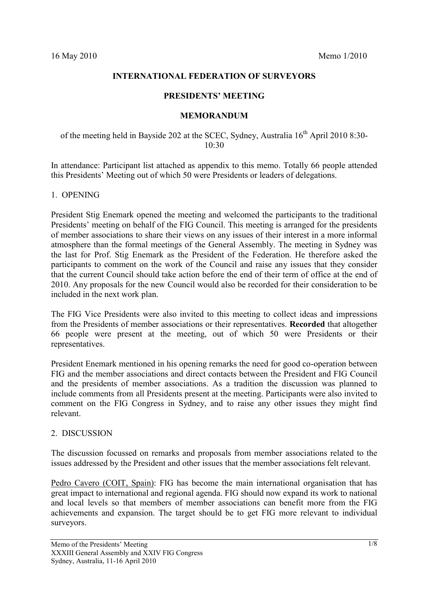## **INTERNATIONAL FEDERATION OF SURVEYORS**

### **PRESIDENTS' MEETING**

#### **MEMORANDUM**

# of the meeting held in Bayside 202 at the SCEC, Sydney, Australia 16<sup>th</sup> April 2010 8:30-10:30

In attendance: Participant list attached as appendix to this memo. Totally 66 people attended this Presidents' Meeting out of which 50 were Presidents or leaders of delegations.

### 1. OPENING

President Stig Enemark opened the meeting and welcomed the participants to the traditional Presidents' meeting on behalf of the FIG Council. This meeting is arranged for the presidents of member associations to share their views on any issues of their interest in a more informal atmosphere than the formal meetings of the General Assembly. The meeting in Sydney was the last for Prof. Stig Enemark as the President of the Federation. He therefore asked the participants to comment on the work of the Council and raise any issues that they consider that the current Council should take action before the end of their term of office at the end of 2010. Any proposals for the new Council would also be recorded for their consideration to be included in the next work plan.

The FIG Vice Presidents were also invited to this meeting to collect ideas and impressions from the Presidents of member associations or their representatives. **Recorded** that altogether 66 people were present at the meeting, out of which 50 were Presidents or their representatives.

President Enemark mentioned in his opening remarks the need for good co-operation between FIG and the member associations and direct contacts between the President and FIG Council and the presidents of member associations. As a tradition the discussion was planned to include comments from all Presidents present at the meeting. Participants were also invited to comment on the FIG Congress in Sydney, and to raise any other issues they might find relevant.

## 2. DISCUSSION

The discussion focussed on remarks and proposals from member associations related to the issues addressed by the President and other issues that the member associations felt relevant.

Pedro Cavero (COIT, Spain): FIG has become the main international organisation that has great impact to international and regional agenda. FIG should now expand its work to national and local levels so that members of member associations can benefit more from the FIG achievements and expansion. The target should be to get FIG more relevant to individual surveyors.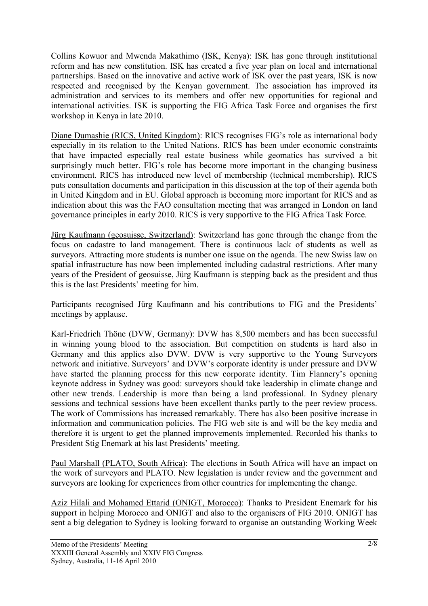Collins Kowuor and Mwenda Makathimo (ISK, Kenya): ISK has gone through institutional reform and has new constitution. ISK has created a five year plan on local and international partnerships. Based on the innovative and active work of ISK over the past years, ISK is now respected and recognised by the Kenyan government. The association has improved its administration and services to its members and offer new opportunities for regional and international activities. ISK is supporting the FIG Africa Task Force and organises the first workshop in Kenya in late 2010.

Diane Dumashie (RICS, United Kingdom): RICS recognises FIG's role as international body especially in its relation to the United Nations. RICS has been under economic constraints that have impacted especially real estate business while geomatics has survived a bit surprisingly much better. FIG's role has become more important in the changing business environment. RICS has introduced new level of membership (technical membership). RICS puts consultation documents and participation in this discussion at the top of their agenda both in United Kingdom and in EU. Global approach is becoming more important for RICS and as indication about this was the FAO consultation meeting that was arranged in London on land governance principles in early 2010. RICS is very supportive to the FIG Africa Task Force.

Jürg Kaufmann (geosuisse, Switzerland): Switzerland has gone through the change from the focus on cadastre to land management. There is continuous lack of students as well as surveyors. Attracting more students is number one issue on the agenda. The new Swiss law on spatial infrastructure has now been implemented including cadastral restrictions. After many years of the President of geosuisse, Jürg Kaufmann is stepping back as the president and thus this is the last Presidents' meeting for him.

Participants recognised Jürg Kaufmann and his contributions to FIG and the Presidents' meetings by applause.

Karl-Friedrich Thöne (DVW, Germany): DVW has 8,500 members and has been successful in winning young blood to the association. But competition on students is hard also in Germany and this applies also DVW. DVW is very supportive to the Young Surveyors network and initiative. Surveyors' and DVW's corporate identity is under pressure and DVW have started the planning process for this new corporate identity. Tim Flannery's opening keynote address in Sydney was good: surveyors should take leadership in climate change and other new trends. Leadership is more than being a land professional. In Sydney plenary sessions and technical sessions have been excellent thanks partly to the peer review process. The work of Commissions has increased remarkably. There has also been positive increase in information and communication policies. The FIG web site is and will be the key media and therefore it is urgent to get the planned improvements implemented. Recorded his thanks to President Stig Enemark at his last Presidents' meeting.

Paul Marshall (PLATO, South Africa): The elections in South Africa will have an impact on the work of surveyors and PLATO. New legislation is under review and the government and surveyors are looking for experiences from other countries for implementing the change.

Aziz Hilali and Mohamed Ettarid (ONIGT, Morocco): Thanks to President Enemark for his support in helping Morocco and ONIGT and also to the organisers of FIG 2010. ONIGT has sent a big delegation to Sydney is looking forward to organise an outstanding Working Week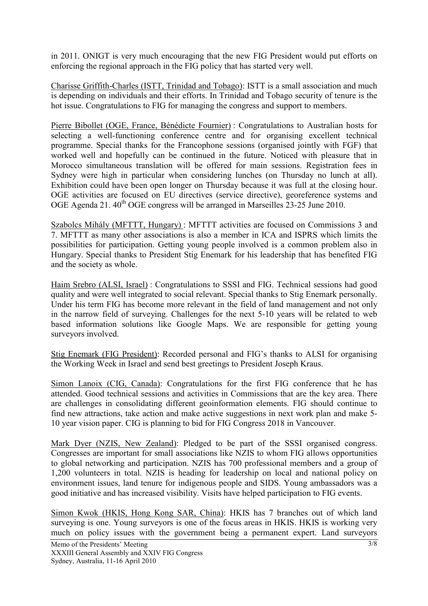in 2011. ONIGT is very much encouraging that the new FIG President would put efforts on enforcing the regional approach in the FIG policy that has started very well.

Charisse Griffith-Charles (ISTT, Trinidad and Tobago): ISTT is a small association and much is depending on individuals and their efforts. In Trinidad and Tobago security of tenure is the hot issue. Congratulations to FIG for managing the congress and support to members.

Pierre Bibollet (OGE, France, Bénédicte Fournier) : Congratulations to Australian hosts for selecting a well-functioning conference centre and for organising excellent technical programme. Special thanks for the Francophone sessions (organised jointly with FGF) that worked well and hopefully can be continued in the future. Noticed with pleasure that in Morocco simultaneous translation will be offered for main sessions. Registration fees in Sydney were high in particular when considering lunches (on Thursday no lunch at all). Exhibition could have been open longer on Thursday because it was full at the closing hour. OGE activities are focused on EU directives (service directive), georeference systems and OGE Agenda 21.  $40^{th}$  OGE congress will be arranged in Marseilles 23-25 June 2010.

Szabolcs Mihály (MFTTT, Hungary) : MFTTT activities are focused on Commissions 3 and 7. MFTTT as many other associations is also a member in ICA and ISPRS which limits the possibilities for participation. Getting young people involved is a common problem also in Hungary. Special thanks to President Stig Enemark for his leadership that has benefited FIG and the society as whole.

Haim Srebro (ALSI, Israel) : Congratulations to SSSI and FIG. Technical sessions had good quality and were well integrated to social relevant. Special thanks to Stig Enemark personally. Under his term FIG has become more relevant in the field of land management and not only in the narrow field of surveying. Challenges for the next 5-10 years will be related to web based information solutions like Google Maps. We are responsible for getting young surveyors involved.

Stig Enemark (FIG President): Recorded personal and FIG's thanks to ALSI for organising the Working Week in Israel and send best greetings to President Joseph Kraus.

Simon Lanoix (CIG, Canada): Congratulations for the first FIG conference that he has attended. Good technical sessions and activities in Commissions that are the key area. There are challenges in consolidating different geoinformation elements. FIG should continue to find new attractions, take action and make active suggestions in next work plan and make 5- 10 year vision paper. CIG is planning to bid for FIG Congress 2018 in Vancouver.

Mark Dyer (NZIS, New Zealand): Pledged to be part of the SSSI organised congress. Congresses are important for small associations like NZIS to whom FIG allows opportunities to global networking and participation. NZIS has 700 professional members and a group of 1,200 volunteers in total. NZIS is heading for leadership on local and national policy on environment issues, land tenure for indigenous people and SIDS. Young ambassadors was a good initiative and has increased visibility. Visits have helped participation to FIG events.

Simon Kwok (HKIS, Hong Kong SAR, China): HKIS has 7 branches out of which land surveying is one. Young surveyors is one of the focus areas in HKIS. HKIS is working very much on policy issues with the government being a permanent expert. Land surveyors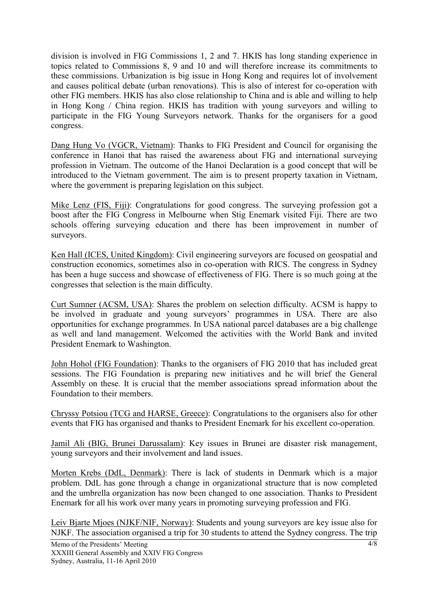division is involved in FIG Commissions 1, 2 and 7. HKIS has long standing experience in topics related to Commissions 8, 9 and 10 and will therefore increase its commitments to these commissions. Urbanization is big issue in Hong Kong and requires lot of involvement and causes political debate (urban renovations). This is also of interest for co-operation with other FIG members. HKIS has also close relationship to China and is able and willing to help in Hong Kong / China region. HKIS has tradition with young surveyors and willing to participate in the FIG Young Surveyors network. Thanks for the organisers for a good congress.

Dang Hung Vo (VGCR, Vietnam): Thanks to FIG President and Council for organising the conference in Hanoi that has raised the awareness about FIG and international surveying profession in Vietnam. The outcome of the Hanoi Declaration is a good concept that will be introduced to the Vietnam government. The aim is to present property taxation in Vietnam, where the government is preparing legislation on this subject.

Mike Lenz (FIS, Fiji): Congratulations for good congress. The surveying profession got a boost after the FIG Congress in Melbourne when Stig Enemark visited Fiji. There are two schools offering surveying education and there has been improvement in number of surveyors.

Ken Hall (ICES, United Kingdom): Civil engineering surveyors are focused on geospatial and construction economics, sometimes also in co-operation with RICS. The congress in Sydney has been a huge success and showcase of effectiveness of FIG. There is so much going at the congresses that selection is the main difficulty.

Curt Sumner (ACSM, USA): Shares the problem on selection difficulty. ACSM is happy to be involved in graduate and young surveyors' programmes in USA. There are also opportunities for exchange programmes. In USA national parcel databases are a big challenge as well and land management. Welcomed the activities with the World Bank and invited President Enemark to Washington.

John Hohol (FIG Foundation): Thanks to the organisers of FIG 2010 that has included great sessions. The FIG Foundation is preparing new initiatives and he will brief the General Assembly on these. It is crucial that the member associations spread information about the Foundation to their members.

Chryssy Potsiou (TCG and HARSE, Greece): Congratulations to the organisers also for other events that FIG has organised and thanks to President Enemark for his excellent co-operation.

Jamil Ali (BIG, Brunei Darussalam): Key issues in Brunei are disaster risk management, young surveyors and their involvement and land issues.

Morten Krebs (DdL, Denmark): There is lack of students in Denmark which is a major problem. DdL has gone through a change in organizational structure that is now completed and the umbrella organization has now been changed to one association. Thanks to President Enemark for all his work over many years in promoting surveying profession and FIG.

Leiv Bjarte Mjoes (NJKF/NIF, Norway): Students and young surveyors are key issue also for NJKF. The association organised a trip for 30 students to attend the Sydney congress. The trip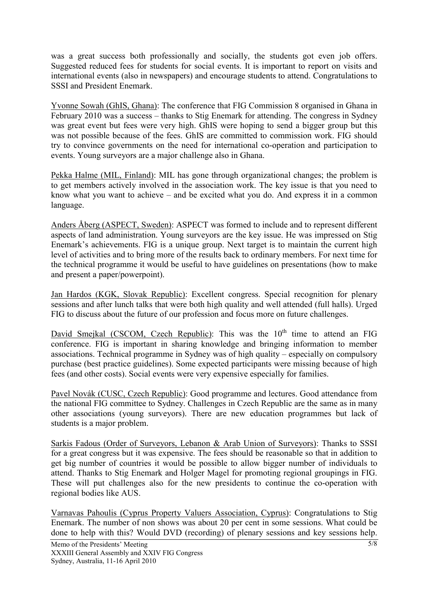was a great success both professionally and socially, the students got even job offers. Suggested reduced fees for students for social events. It is important to report on visits and international events (also in newspapers) and encourage students to attend. Congratulations to SSSI and President Enemark.

Yvonne Sowah (GhIS, Ghana): The conference that FIG Commission 8 organised in Ghana in February 2010 was a success – thanks to Stig Enemark for attending. The congress in Sydney was great event but fees were very high. GhIS were hoping to send a bigger group but this was not possible because of the fees. GhIS are committed to commission work. FIG should try to convince governments on the need for international co-operation and participation to events. Young surveyors are a major challenge also in Ghana.

Pekka Halme (MIL, Finland): MIL has gone through organizational changes; the problem is to get members actively involved in the association work. The key issue is that you need to know what you want to achieve – and be excited what you do. And express it in a common language.

Anders Åberg (ASPECT, Sweden): ASPECT was formed to include and to represent different aspects of land administration. Young surveyors are the key issue. He was impressed on Stig Enemark's achievements. FIG is a unique group. Next target is to maintain the current high level of activities and to bring more of the results back to ordinary members. For next time for the technical programme it would be useful to have guidelines on presentations (how to make and present a paper/powerpoint).

Jan Hardos (KGK, Slovak Republic): Excellent congress. Special recognition for plenary sessions and after lunch talks that were both high quality and well attended (full halls). Urged FIG to discuss about the future of our profession and focus more on future challenges.

David Smejkal (CSCOM, Czech Republic): This was the  $10<sup>th</sup>$  time to attend an FIG conference. FIG is important in sharing knowledge and bringing information to member associations. Technical programme in Sydney was of high quality – especially on compulsory purchase (best practice guidelines). Some expected participants were missing because of high fees (and other costs). Social events were very expensive especially for families.

Pavel Novák (CUSC, Czech Republic): Good programme and lectures. Good attendance from the national FIG committee to Sydney. Challenges in Czech Republic are the same as in many other associations (young surveyors). There are new education programmes but lack of students is a major problem.

Sarkis Fadous (Order of Surveyors, Lebanon & Arab Union of Surveyors): Thanks to SSSI for a great congress but it was expensive. The fees should be reasonable so that in addition to get big number of countries it would be possible to allow bigger number of individuals to attend. Thanks to Stig Enemark and Holger Magel for promoting regional groupings in FIG. These will put challenges also for the new presidents to continue the co-operation with regional bodies like AUS.

Varnavas Pahoulis (Cyprus Property Valuers Association, Cyprus): Congratulations to Stig Enemark. The number of non shows was about 20 per cent in some sessions. What could be done to help with this? Would DVD (recording) of plenary sessions and key sessions help.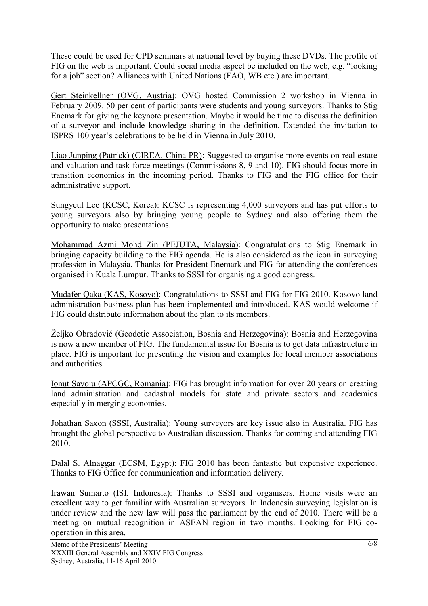These could be used for CPD seminars at national level by buying these DVDs. The profile of FIG on the web is important. Could social media aspect be included on the web, e.g. "looking for a job" section? Alliances with United Nations (FAO, WB etc.) are important.

Gert Steinkellner (OVG, Austria): OVG hosted Commission 2 workshop in Vienna in February 2009. 50 per cent of participants were students and young surveyors. Thanks to Stig Enemark for giving the keynote presentation. Maybe it would be time to discuss the definition of a surveyor and include knowledge sharing in the definition. Extended the invitation to ISPRS 100 year's celebrations to be held in Vienna in July 2010.

Liao Junping (Patrick) (CIREA, China PR): Suggested to organise more events on real estate and valuation and task force meetings (Commissions 8, 9 and 10). FIG should focus more in transition economies in the incoming period. Thanks to FIG and the FIG office for their administrative support.

Sungyeul Lee (KCSC, Korea): KCSC is representing 4,000 surveyors and has put efforts to young surveyors also by bringing young people to Sydney and also offering them the opportunity to make presentations.

Mohammad Azmi Mohd Zin (PEJUTA, Malaysia): Congratulations to Stig Enemark in bringing capacity building to the FIG agenda. He is also considered as the icon in surveying profession in Malaysia. Thanks for President Enemark and FIG for attending the conferences organised in Kuala Lumpur. Thanks to SSSI for organising a good congress.

Mudafer Qaka (KAS, Kosovo): Congratulations to SSSI and FIG for FIG 2010. Kosovo land administration business plan has been implemented and introduced. KAS would welcome if FIG could distribute information about the plan to its members.

Željko Obradović (Geodetic Association, Bosnia and Herzegovina): Bosnia and Herzegovina is now a new member of FIG. The fundamental issue for Bosnia is to get data infrastructure in place. FIG is important for presenting the vision and examples for local member associations and authorities.

Ionut Savoiu (APCGC, Romania): FIG has brought information for over 20 years on creating land administration and cadastral models for state and private sectors and academics especially in merging economies.

Johathan Saxon (SSSI, Australia): Young surveyors are key issue also in Australia. FIG has brought the global perspective to Australian discussion. Thanks for coming and attending FIG 2010.

Dalal S. Alnaggar (ECSM, Egypt): FIG 2010 has been fantastic but expensive experience. Thanks to FIG Office for communication and information delivery.

Irawan Sumarto (ISI, Indonesia): Thanks to SSSI and organisers. Home visits were an excellent way to get familiar with Australian surveyors. In Indonesia surveying legislation is under review and the new law will pass the parliament by the end of 2010. There will be a meeting on mutual recognition in ASEAN region in two months. Looking for FIG cooperation in this area.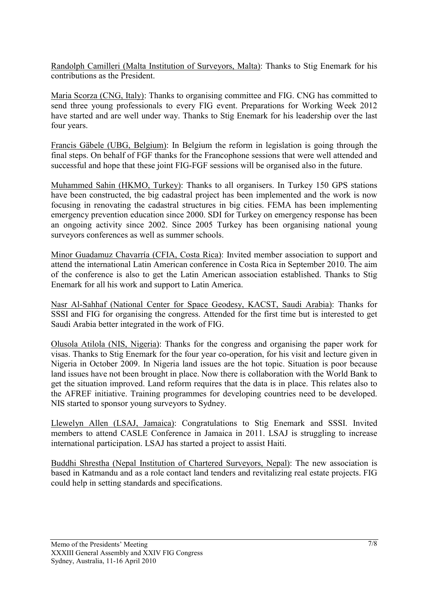Randolph Camilleri (Malta Institution of Surveyors, Malta): Thanks to Stig Enemark for his contributions as the President.

Maria Scorza (CNG, Italy): Thanks to organising committee and FIG. CNG has committed to send three young professionals to every FIG event. Preparations for Working Week 2012 have started and are well under way. Thanks to Stig Enemark for his leadership over the last four years.

Francis Gäbele (UBG, Belgium): In Belgium the reform in legislation is going through the final steps. On behalf of FGF thanks for the Francophone sessions that were well attended and successful and hope that these joint FIG-FGF sessions will be organised also in the future.

Muhammed Sahin (HKMO, Turkey): Thanks to all organisers. In Turkey 150 GPS stations have been constructed, the big cadastral project has been implemented and the work is now focusing in renovating the cadastral structures in big cities. FEMA has been implementing emergency prevention education since 2000. SDI for Turkey on emergency response has been an ongoing activity since 2002. Since 2005 Turkey has been organising national young surveyors conferences as well as summer schools.

Minor Guadamuz Chavarría (CFIA, Costa Rica): Invited member association to support and attend the international Latin American conference in Costa Rica in September 2010. The aim of the conference is also to get the Latin American association established. Thanks to Stig Enemark for all his work and support to Latin America.

Nasr Al-Sahhaf (National Center for Space Geodesy, KACST, Saudi Arabia): Thanks for SSSI and FIG for organising the congress. Attended for the first time but is interested to get Saudi Arabia better integrated in the work of FIG.

Olusola Atilola (NIS, Nigeria): Thanks for the congress and organising the paper work for visas. Thanks to Stig Enemark for the four year co-operation, for his visit and lecture given in Nigeria in October 2009. In Nigeria land issues are the hot topic. Situation is poor because land issues have not been brought in place. Now there is collaboration with the World Bank to get the situation improved. Land reform requires that the data is in place. This relates also to the AFREF initiative. Training programmes for developing countries need to be developed. NIS started to sponsor young surveyors to Sydney.

Llewelyn Allen (LSAJ, Jamaica): Congratulations to Stig Enemark and SSSI. Invited members to attend CASLE Conference in Jamaica in 2011. LSAJ is struggling to increase international participation. LSAJ has started a project to assist Haiti.

Buddhi Shrestha (Nepal Institution of Chartered Surveyors, Nepal): The new association is based in Katmandu and as a role contact land tenders and revitalizing real estate projects. FIG could help in setting standards and specifications.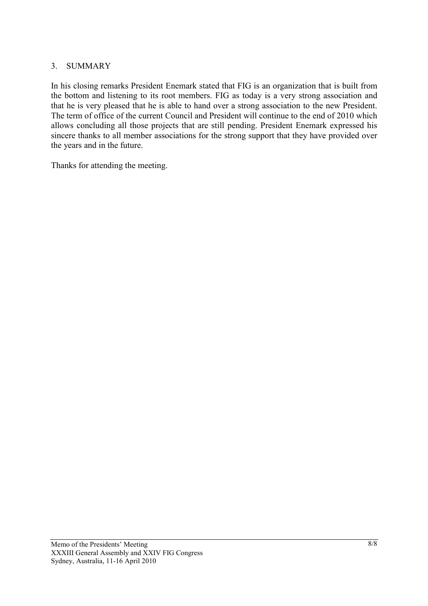## 3. SUMMARY

In his closing remarks President Enemark stated that FIG is an organization that is built from the bottom and listening to its root members. FIG as today is a very strong association and that he is very pleased that he is able to hand over a strong association to the new President. The term of office of the current Council and President will continue to the end of 2010 which allows concluding all those projects that are still pending. President Enemark expressed his sincere thanks to all member associations for the strong support that they have provided over the years and in the future.

Thanks for attending the meeting.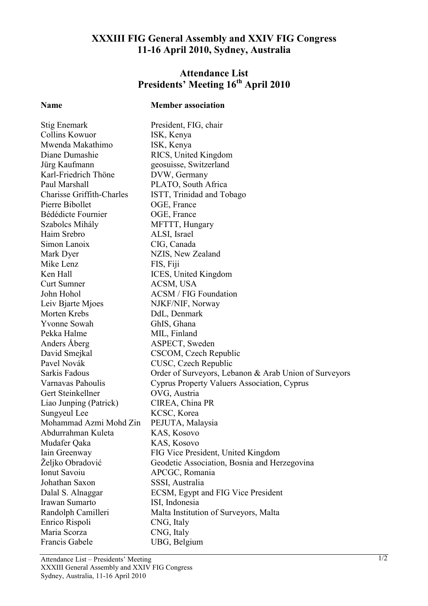# **XXXIII FIG General Assembly and XXIV FIG Congress 11-16 April 2010, Sydney, Australia**

# **Attendance List Presidents' Meeting 16th April 2010**

## **Name Member association**

Stig Enemark President, FIG, chair Collins Kowuor ISK, Kenya Mwenda Makathimo ISK, Kenya Diane Dumashie RICS, United Kingdom Jürg Kaufmann geosuisse, Switzerland Karl-Friedrich Thöne DVW, Germany Paul Marshall PLATO, South Africa Charisse Griffith-Charles ISTT, Trinidad and Tobago Pierre Bibollet OGE, France Bédédicte Fournier **OGE**, France Szabolcs Mihály MFTTT, Hungary Haim Srebro ALSI, Israel Simon Lanoix CIG, Canada Mark Dyer NZIS, New Zealand Mike Lenz FIS, Fiji Ken Hall **ICES**, United Kingdom Curt Sumner ACSM, USA John Hohol ACSM / FIG Foundation Leiv Bjarte Mjoes NJKF/NIF, Norway Morten Krebs DdL, Denmark Yvonne Sowah GhIS, Ghana Pekka Halme MIL, Finland Anders Åberg ASPECT, Sweden David Smejkal CSCOM, Czech Republic Pavel Novák CUSC, Czech Republic Sarkis Fadous Order of Surveyors, Lebanon & Arab Union of Surveyors Varnavas Pahoulis Cyprus Property Valuers Association, Cyprus Gert Steinkellner OVG, Austria Liao Junping (Patrick) CIREA, China PR Sungyeul Lee KCSC, Korea Mohammad Azmi Mohd Zin PEJUTA, Malaysia Abdurrahman Kuleta KAS, Kosovo Mudafer Oaka KAS, Kosovo Iain Greenway FIG Vice President, United Kingdom Željko Obradović Geodetic Association, Bosnia and Herzegovina Ionut Savoiu APCGC, Romania Johathan Saxon SSSI, Australia Dalal S. Alnaggar ECSM, Egypt and FIG Vice President Irawan Sumarto ISI, Indonesia Randolph Camilleri Malta Institution of Surveyors, Malta Enrico Rispoli CNG, Italy Maria Scorza CNG, Italy Francis Gabele UBG, Belgium